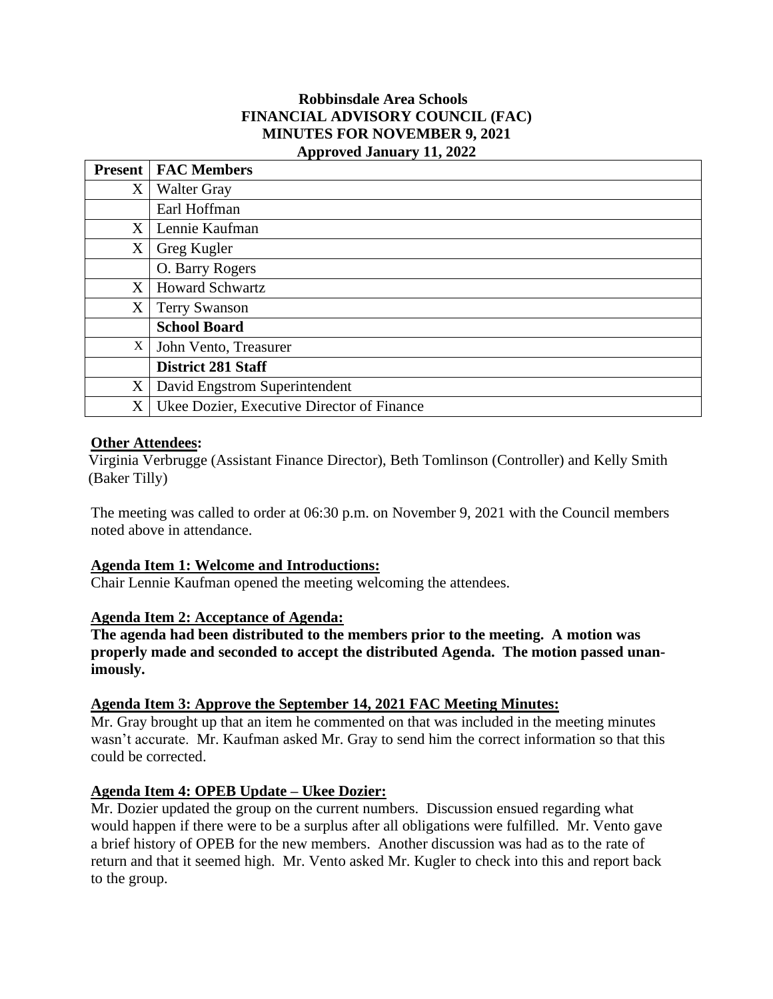### **Robbinsdale Area Schools FINANCIAL ADVISORY COUNCIL (FAC) MINUTES FOR NOVEMBER 9, 2021 Approved January 11, 2022**

| <b>Present</b> | <b>FAC Members</b>                         |
|----------------|--------------------------------------------|
| X              | <b>Walter Gray</b>                         |
|                | Earl Hoffman                               |
| X              | Lennie Kaufman                             |
| $\mathbf X$    | Greg Kugler                                |
|                | O. Barry Rogers                            |
| X              | <b>Howard Schwartz</b>                     |
| $X_{-}$        | <b>Terry Swanson</b>                       |
|                | <b>School Board</b>                        |
| X              | John Vento, Treasurer                      |
|                | <b>District 281 Staff</b>                  |
| X              | David Engstrom Superintendent              |
| X              | Ukee Dozier, Executive Director of Finance |

## **Other Attendees:**

Virginia Verbrugge (Assistant Finance Director), Beth Tomlinson (Controller) and Kelly Smith (Baker Tilly)

The meeting was called to order at 06:30 p.m. on November 9, 2021 with the Council members noted above in attendance.

### **Agenda Item 1: Welcome and Introductions:**

Chair Lennie Kaufman opened the meeting welcoming the attendees.

### **Agenda Item 2: Acceptance of Agenda:**

**The agenda had been distributed to the members prior to the meeting. A motion was properly made and seconded to accept the distributed Agenda. The motion passed unanimously.**

### **Agenda Item 3: Approve the September 14, 2021 FAC Meeting Minutes:**

Mr. Gray brought up that an item he commented on that was included in the meeting minutes wasn't accurate. Mr. Kaufman asked Mr. Gray to send him the correct information so that this could be corrected.

### **Agenda Item 4: OPEB Update – Ukee Dozier:**

Mr. Dozier updated the group on the current numbers. Discussion ensued regarding what would happen if there were to be a surplus after all obligations were fulfilled. Mr. Vento gave a brief history of OPEB for the new members. Another discussion was had as to the rate of return and that it seemed high. Mr. Vento asked Mr. Kugler to check into this and report back to the group.